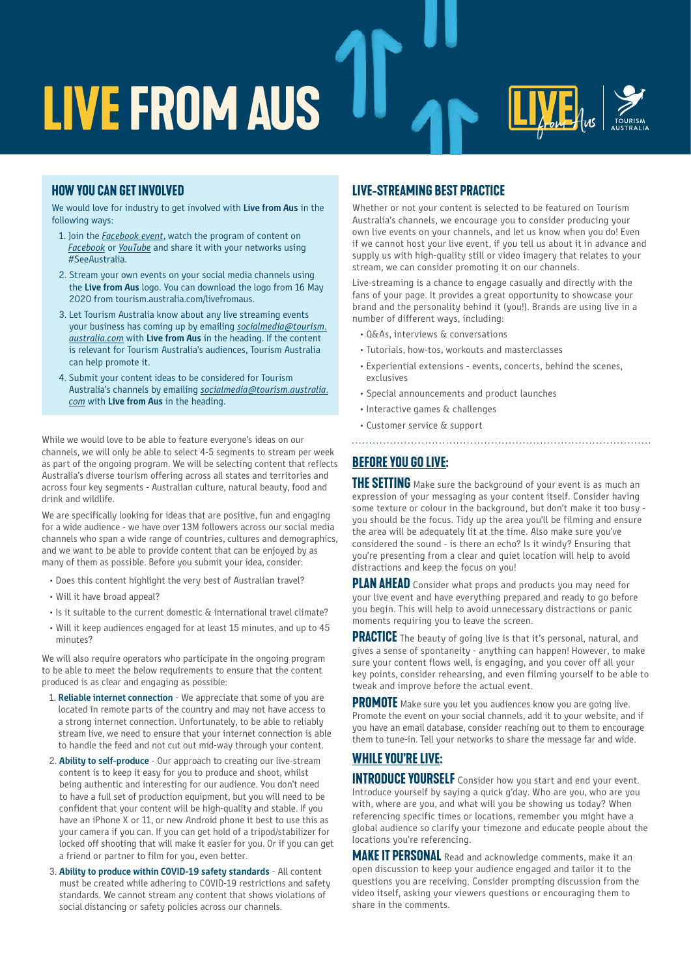

## **HOW YOU CAN GET INVOLVED**

We would love for industry to get involved with **Live from Aus** in the following ways:

- 1. Join the *[Facebook event](https://www.facebook.com/events/248967806303778/)*, watch the program of content on *[Facebook](https://www.facebook.com/SeeAustralia/)* or *[YouTube](https://www.youtube.com/user/australia)* and share it with your networks using #SeeAustralia.
- 2. Stream your own events on your social media channels using the **Live from Aus** logo. You can download the logo from 16 May 2020 from tourism.australia.com/livefromaus.
- 3. Let Tourism Australia know about any live streaming events your business has coming up by emailing *[socialmedia@tourism.](mailto:socialmedia%40tourism.australia.com%20?subject=) [australia.com](mailto:socialmedia%40tourism.australia.com%20?subject=)* with **Live from Aus** in the heading. If the content is relevant for Tourism Australia's audiences, Tourism Australia can help promote it.
- 4. Submit your content ideas to be considered for Tourism Australia's channels by emailing *[socialmedia@tourism.australia.](mailto:socialmedia%40tourism.australia.com%20?subject=) [com](mailto:socialmedia%40tourism.australia.com%20?subject=)* with **Live from Aus** in the heading.

While we would love to be able to feature everyone's ideas on our channels, we will only be able to select 4-5 segments to stream per week as part of the ongoing program. We will be selecting content that reflects Australia's diverse tourism offering across all states and territories and across four key segments - Australian culture, natural beauty, food and drink and wildlife.

We are specifically looking for ideas that are positive, fun and engaging for a wide audience - we have over 13M followers across our social media channels who span a wide range of countries, cultures and demographics, and we want to be able to provide content that can be enjoyed by as many of them as possible. Before you submit your idea, consider:

- Does this content highlight the very best of Australian travel?
- Will it have broad appeal?
- Is it suitable to the current domestic & international travel climate?
- Will it keep audiences engaged for at least 15 minutes, and up to 45 minutes?

We will also require operators who participate in the ongoing program to be able to meet the below requirements to ensure that the content produced is as clear and engaging as possible:

- 1. **Reliable internet connection** We appreciate that some of you are located in remote parts of the country and may not have access to a strong internet connection. Unfortunately, to be able to reliably stream live, we need to ensure that your internet connection is able to handle the feed and not cut out mid-way through your content.
- 2. **Ability to self-produce** Our approach to creating our live-stream content is to keep it easy for you to produce and shoot, whilst being authentic and interesting for our audience. You don't need to have a full set of production equipment, but you will need to be confident that your content will be high-quality and stable. If you have an iPhone X or 11, or new Android phone it best to use this as your camera if you can. If you can get hold of a tripod/stabilizer for locked off shooting that will make it easier for you. Or if you can get a friend or partner to film for you, even better.
- 3. **Ability to produce within COVID-19 safety standards** All content must be created while adhering to COVID-19 restrictions and safety standards. We cannot stream any content that shows violations of social distancing or safety policies across our channels.

## **Live-streaming BEST PRACTICE**

Whether or not your content is selected to be featured on Tourism Australia's channels, we encourage you to consider producing your own live events on your channels, and let us know when you do! Even if we cannot host your live event, if you tell us about it in advance and supply us with high-quality still or video imagery that relates to your stream, we can consider promoting it on our channels.

Live-streaming is a chance to engage casually and directly with the fans of your page. It provides a great opportunity to showcase your brand and the personality behind it (you!). Brands are using live in a number of different ways, including:

- Q&As, interviews & conversations
- Tutorials, how-tos, workouts and masterclasses
- Experiential extensions events, concerts, behind the scenes, exclusives

- Special announcements and product launches
- Interactive games & challenges
- Customer service & support

# **Before you go live:**

**THE SETTING** Make sure the background of your event is as much an expression of your messaging as your content itself. Consider having some texture or colour in the background, but don't make it too busy you should be the focus. Tidy up the area you'll be filming and ensure the area will be adequately lit at the time. Also make sure you've considered the sound - is there an echo? Is it windy? Ensuring that you're presenting from a clear and quiet location will help to avoid distractions and keep the focus on you!

**PLAN AHEAD** Consider what props and products you may need for your live event and have everything prepared and ready to go before you begin. This will help to avoid unnecessary distractions or panic moments requiring you to leave the screen.

**PRACTICE** The beauty of going live is that it's personal, natural, and gives a sense of spontaneity - anything can happen! However, to make sure your content flows well, is engaging, and you cover off all your key points, consider rehearsing, and even filming yourself to be able to tweak and improve before the actual event.

**PROMOTE** Make sure you let you audiences know you are going live. Promote the event on your social channels, add it to your website, and if you have an email database, consider reaching out to them to encourage them to tune-in. Tell your networks to share the message far and wide.

# **WHILE YOU'RE LIVE:**

**INTRODUCE YOURSELF** Consider how you start and end your event. Introduce yourself by saying a quick g'day. Who are you, who are you with, where are you, and what will you be showing us today? When referencing specific times or locations, remember you might have a global audience so clarify your timezone and educate people about the locations you're referencing.

**MAKE IT PERSONAL** Read and acknowledge comments, make it an open discussion to keep your audience engaged and tailor it to the questions you are receiving. Consider prompting discussion from the video itself, asking your viewers questions or encouraging them to share in the comments.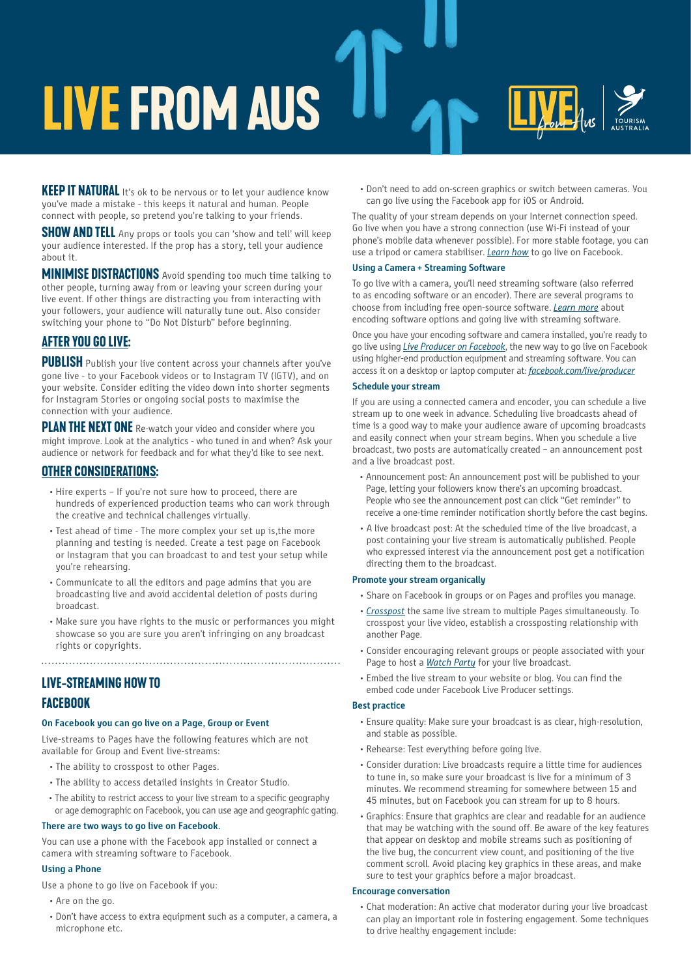# **live from aus**

**KEEP IT NATURAL** It's ok to be nervous or to let your audience know you've made a mistake - this keeps it natural and human. People connect with people, so pretend you're talking to your friends.

**SHOW AND TELL** Any props or tools you can 'show and tell' will keep your audience interested. If the prop has a story, tell your audience about it.

**MINIMISE DISTRACTIONS** Avoid spending too much time talking to other people, turning away from or leaving your screen during your live event. If other things are distracting you from interacting with your followers, your audience will naturally tune out. Also consider switching your phone to "Do Not Disturb" before beginning.

# **After you go live:**

**PUBLISH** Publish your live content across your channels after you've gone live - to your Facebook videos or to Instagram TV (IGTV), and on your website. Consider editing the video down into shorter segments for Instagram Stories or ongoing social posts to maximise the connection with your audience.

**PLAN THE NEXT ONE** Re-watch your video and consider where you might improve. Look at the analytics - who tuned in and when? Ask your audience or network for feedback and for what they'd like to see next.

# **Other considerations:**

- Hire experts If you're not sure how to proceed, there are hundreds of experienced production teams who can work through the creative and technical challenges virtually.
- Test ahead of time The more complex your set up is,the more planning and testing is needed. Create a test page on Facebook or Instagram that you can broadcast to and test your setup while you're rehearsing.
- Communicate to all the editors and page admins that you are broadcasting live and avoid accidental deletion of posts during broadcast.
- Make sure you have rights to the music or performances you might showcase so you are sure you aren't infringing on any broadcast rights or copyrights.

# **Live-streaming HOW TO FACEBOOK**

### **On Facebook you can go live on a Page, Group or Event**

Live-streams to Pages have the following features which are not available for Group and Event live-streams:

- The ability to crosspost to other Pages.
- The ability to access detailed insights in Creator Studio.
- The ability to restrict access to your live stream to a specific geography or age demographic on Facebook, you can use age and geographic gating.

### **There are two ways to go live on Facebook.**

You can use a phone with the Facebook app installed or connect a camera with streaming software to Facebook.

### **Using a Phone**

Use a phone to go live on Facebook if you:

- Are on the go.
- Don't have access to extra equipment such as a computer, a camera, a microphone etc.

 • Don't need to add on-screen graphics or switch between cameras. You can go live using the Facebook app for iOS or Android.

The quality of your stream depends on your Internet connection speed. Go live when you have a strong connection (use Wi-Fi instead of your phone's mobile data whenever possible). For more stable footage, you can use a tripod or camera stabiliser. *[Learn how](https://www.facebook.com/help/iphone-app/1636872026560015)* to go live on Facebook.

### **Using a Camera + Streaming Software**

To go live with a camera, you'll need streaming software (also referred to as encoding software or an encoder). There are several programs to choose from including free open-source software. *[Learn more](https://www.facebook.com/business/help/2771226942969318?id=1123223941353904)* about encoding software options and going live with streaming software.

Once you have your encoding software and camera installed, you're ready to go live using *[Live Producer on Facebook](https://www.facebook.com/business/help/593310264553282?id=1123223941353904)*, the new way to go live on Facebook using higher-end production equipment and streaming software. You can access it on a desktop or laptop computer at: *[facebook.com/live/producer](https://www.facebook.com/live/producer)*

### **Schedule your stream**

If you are using a connected camera and encoder, you can schedule a live stream up to one week in advance. Scheduling live broadcasts ahead of time is a good way to make your audience aware of upcoming broadcasts and easily connect when your stream begins. When you schedule a live broadcast, two posts are automatically created – an announcement post and a live broadcast post.

- Announcement post: An announcement post will be published to your Page, letting your followers know there's an upcoming broadcast. People who see the announcement post can click "Get reminder" to receive a one-time reminder notification shortly before the cast begins.
- A live broadcast post: At the scheduled time of the live broadcast, a post containing your live stream is automatically published. People who expressed interest via the announcement post get a notification directing them to the broadcast.

### **Promote your stream organically**

- Share on Facebook in groups or on Pages and profiles you manage.
- *[Crosspost](https://www.facebook.com/business/help/1385580858214929?id=1123223941353904)* the same live stream to multiple Pages simultaneously. To crosspost your live video, establish a crossposting relationship with another Page.
- Consider encouraging relevant groups or people associated with your Page to host a *[Watch Party](https://www.facebook.com/business/help/201462910755680?id=214359809769375)* for your live broadcast.
- Embed the live stream to your website or blog. You can find the embed code under Facebook Live Producer settings.

### **Best practice**

- Ensure quality: Make sure your broadcast is as clear, high-resolution, and stable as possible.
- Rehearse: Test everything before going live.
- Consider duration: Live broadcasts require a little time for audiences to tune in, so make sure your broadcast is live for a minimum of 3 minutes. We recommend streaming for somewhere between 15 and 45 minutes, but on Facebook you can stream for up to 8 hours.
- Graphics: Ensure that graphics are clear and readable for an audience that may be watching with the sound off. Be aware of the key features that appear on desktop and mobile streams such as positioning of the live bug, the concurrent view count, and positioning of the live comment scroll. Avoid placing key graphics in these areas, and make sure to test your graphics before a major broadcast.

### **Encourage conversation**

 • Chat moderation: An active chat moderator during your live broadcast can play an important role in fostering engagement. Some techniques to drive healthy engagement include: